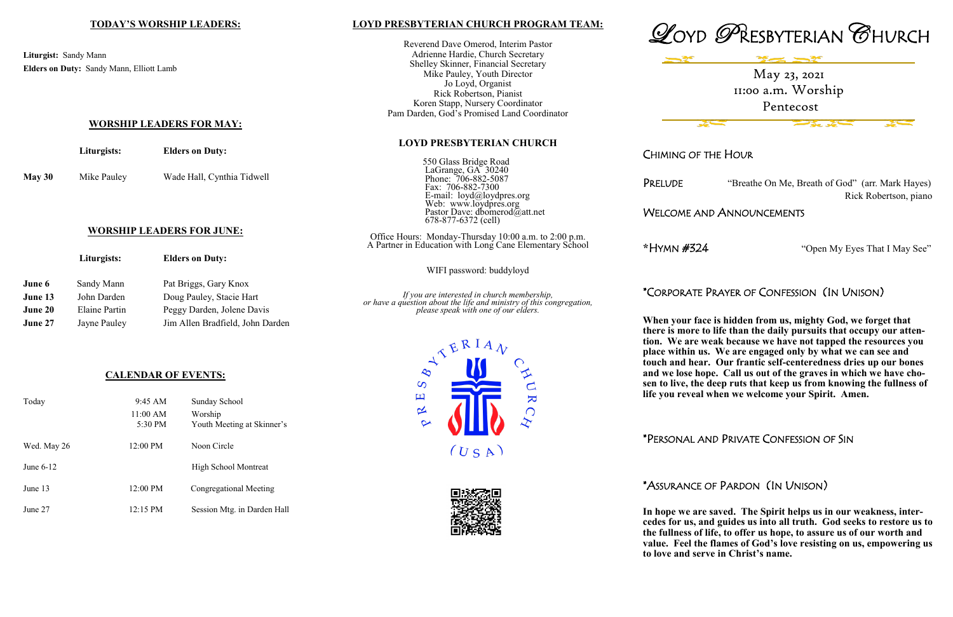#### **LOYD PRESBYTERIAN CHURCH PROGRAM TEAM:**

Reverend Dave Omerod, Interim Pastor Adrienne Hardie, Church Secretary Shelley Skinner, Financial Secretary Mike Pauley, Youth Director Jo Loyd, Organist Rick Robertson, Pianist Koren Stapp, Nursery Coordinator Pam Darden, God's Promised Land Coordinator

#### **LOYD PRESBYTERIAN CHURCH**

550 Glass Bridge Road LaGrange, GA 30240 Phone: 706-882-5087 Fax: 706-882-7300 E-mail: loyd@loydpres.org Web: www.loydpres.org Pastor Dave: dbomerod@att.net 678-877-6372 (cell)

PRELUDE "Breathe On Me, Breath of God" (arr. Mark Hayes) Rick Robertson, piano

**Best** 

Office Hours: Monday-Thursday 10:00 a.m. to 2:00 p.m. A Partner in Education with Long Cane Elementary School



**When face is hidden from us, mighty God, we forget that there is more to life than the daily pursuits that occupy our attention. We are weak because we have not tapped the resources you place within us. We are engaged only by what we can see and touch and hear. Our frantic self-centeredness dries up our bones and we lose hope. Call us out of the graves in which we have chosen to live, the deep ruts that keep us from knowing the fullness of life you reveal when we welcome your Spirit. Amen.** 







# drate Prayer of Confession (In Unison)

CHIMING OF THE HOUR

## WELCOME AND ANNOUNCEMENTS

**\***HYMN #324 "Open My Eyes That I May See"

|                | Liturgists:   | <b>Elders on Duty:</b>           |                                                                                                                                                             |                    |  |
|----------------|---------------|----------------------------------|-------------------------------------------------------------------------------------------------------------------------------------------------------------|--------------------|--|
|                |               |                                  | WIFI password: buddyloyd                                                                                                                                    |                    |  |
| June 6         | Sandy Mann    | Pat Briggs, Gary Knox            | If you are interested in church membership,<br>or have a question about the life and ministry of this congregation,<br>please speak with one of our elders. | *CORPC             |  |
| June 13        | John Darden   | Doug Pauley, Stacie Hart         |                                                                                                                                                             |                    |  |
| <b>June 20</b> | Elaine Partin | Peggy Darden, Jolene Davis       |                                                                                                                                                             |                    |  |
| <b>June 27</b> | Jayne Pauley  | Jim Allen Bradfield, John Darden |                                                                                                                                                             | When yo<br>thomeio |  |

\*PERSONAL AND PRIVATE CONFESSION OF SIN

# \*ASSURANCE OF PARDON (IN UNISON)

**In hope we are saved. The Spirit helps us in our weakness, intercedes for us, and guides us into all truth. God seeks to restore us to the fullness of life, to offer us hope, to assure us of our worth and value. Feel the flames of God's love resisting on us, empowering us to love and serve in Christ's name.**

## **TODAY'S WORSHIP LEADERS:**

**Liturgist:** Sandy Mann **Elders on Duty:** Sandy Mann, Elliott Lamb

**WORSHIP LEADERS FOR MAY:**

# **Liturgists: Elders on Duty:**

**May 30** Mike Pauley Wade Hall, Cynthia Tidwell

## **WORSHIP LEADERS FOR JUNE:**

## **CALENDAR OF EVENTS:**

| Today       | $9:45 \text{ AM}$<br>11:00 AM<br>$5:30 \text{ PM}$ | Sunday School<br>Worship<br>Youth Meeting at Skinner's |
|-------------|----------------------------------------------------|--------------------------------------------------------|
| Wed. May 26 | $12:00 \text{ PM}$                                 | Noon Circle                                            |
| June $6-12$ |                                                    | High School Montreat                                   |
| June 13     | $12:00 \text{ PM}$                                 | Congregational Meeting                                 |
| June 27     | $12:15 \text{ PM}$                                 | Session Mtg. in Darden Hall                            |

May 23, 2021 11:00 a.m. Worship Pentecost